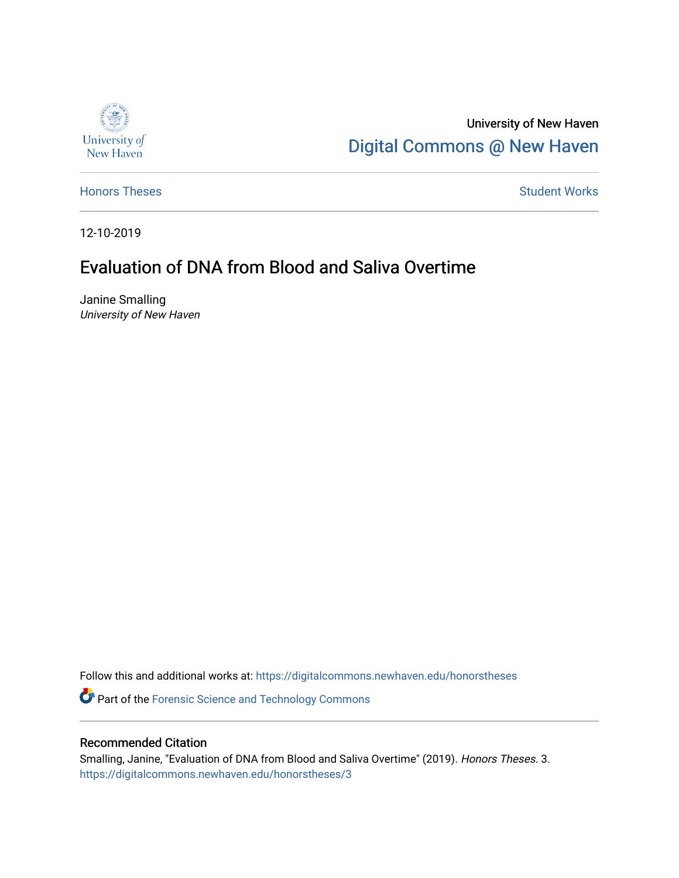

University of New Haven [Digital Commons @ New Haven](https://digitalcommons.newhaven.edu/) 

[Honors Theses](https://digitalcommons.newhaven.edu/honorstheses) **Student Works** [Student Works](https://digitalcommons.newhaven.edu/studentworks) **Student Works** 

12-10-2019

## Evaluation of DNA from Blood and Saliva Overtime

Janine Smalling University of New Haven

Follow this and additional works at: [https://digitalcommons.newhaven.edu/honorstheses](https://digitalcommons.newhaven.edu/honorstheses?utm_source=digitalcommons.newhaven.edu%2Fhonorstheses%2F3&utm_medium=PDF&utm_campaign=PDFCoverPages) 

Part of the [Forensic Science and Technology Commons](http://network.bepress.com/hgg/discipline/1277?utm_source=digitalcommons.newhaven.edu%2Fhonorstheses%2F3&utm_medium=PDF&utm_campaign=PDFCoverPages) 

#### Recommended Citation

Smalling, Janine, "Evaluation of DNA from Blood and Saliva Overtime" (2019). Honors Theses. 3. [https://digitalcommons.newhaven.edu/honorstheses/3](https://digitalcommons.newhaven.edu/honorstheses/3?utm_source=digitalcommons.newhaven.edu%2Fhonorstheses%2F3&utm_medium=PDF&utm_campaign=PDFCoverPages)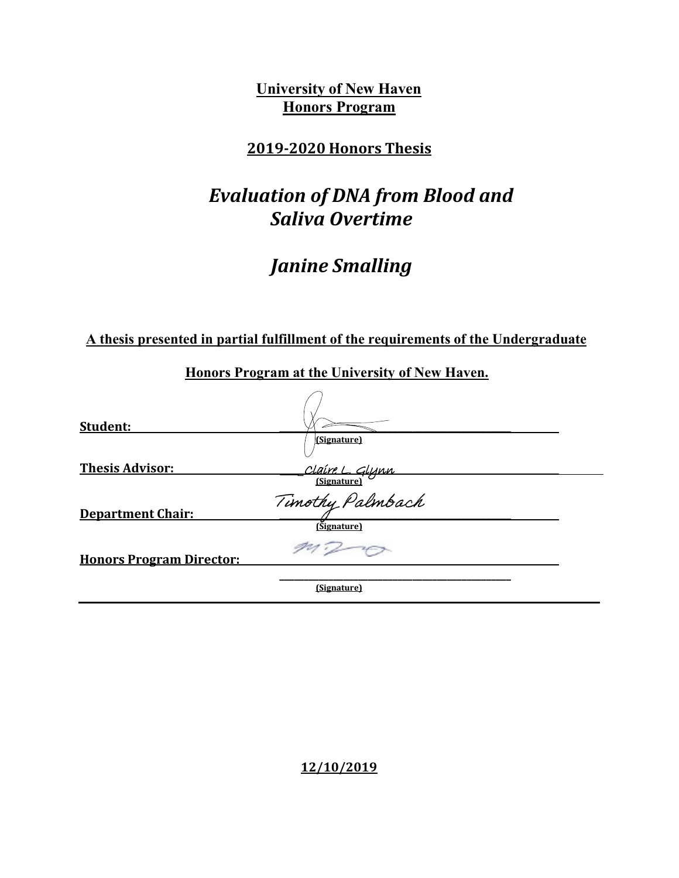**University of New Haven Honors Program**

### **2019-2020 Honors Thesis**

# *Evaluation of DNA from Blood and Saliva Overtime*

# *Janine Smalling*

**A thesis presented in partial fulfillment of the requirements of the Undergraduate**

| Student:                        |                               |  |
|---------------------------------|-------------------------------|--|
|                                 | (Signature)                   |  |
| <b>Thesis Advisor:</b>          | Claire L. Glynn<br>Signature) |  |
|                                 |                               |  |
| <b>Department Chair:</b>        | Timothy Palmbach              |  |
|                                 | (Signature)                   |  |
| <b>Honors Program Director:</b> |                               |  |
|                                 | (Signature)                   |  |

**Honors Program at the University of New Haven.**

**12/10/2019**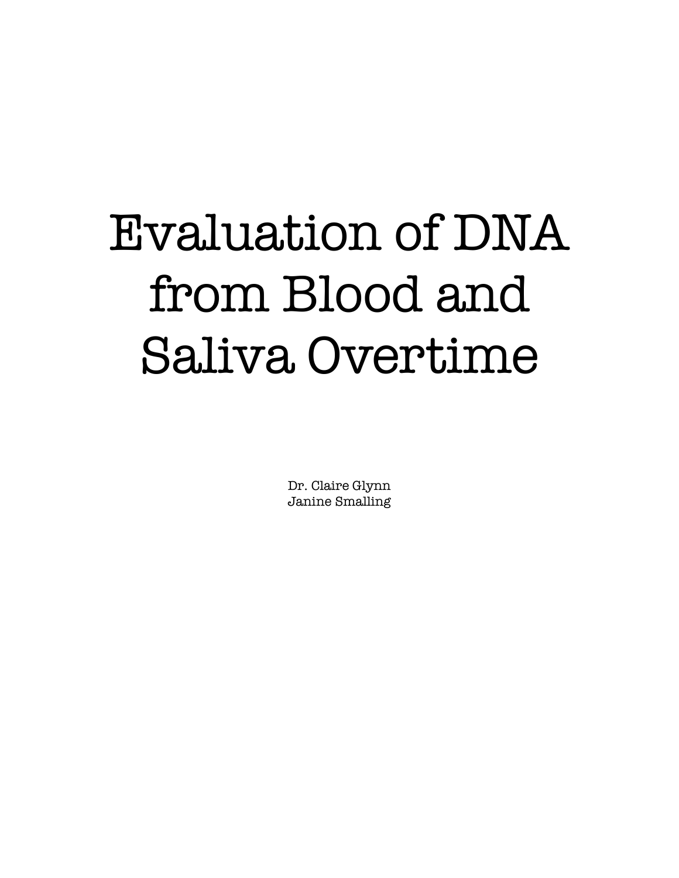# Evaluation of DNA from Blood and Saliva Overtime

Dr. Claire Glynn Janine Smalling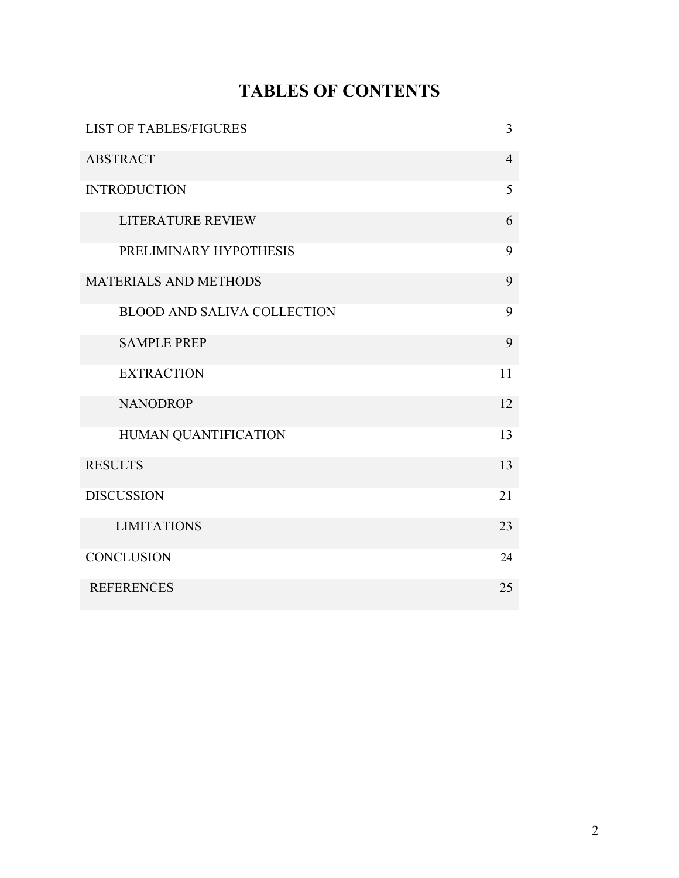# **TABLES OF CONTENTS**

| <b>LIST OF TABLES/FIGURES</b>      | 3              |
|------------------------------------|----------------|
| <b>ABSTRACT</b>                    | $\overline{4}$ |
| <b>INTRODUCTION</b>                | 5              |
| <b>LITERATURE REVIEW</b>           | 6              |
| PRELIMINARY HYPOTHESIS             | 9              |
| <b>MATERIALS AND METHODS</b>       | 9              |
| <b>BLOOD AND SALIVA COLLECTION</b> | 9              |
| <b>SAMPLE PREP</b>                 | 9              |
| <b>EXTRACTION</b>                  | 11             |
| <b>NANODROP</b>                    | 12             |
| HUMAN QUANTIFICATION               | 13             |
| <b>RESULTS</b>                     | 13             |
| <b>DISCUSSION</b>                  | 21             |
| <b>LIMITATIONS</b>                 | 23             |
| <b>CONCLUSION</b>                  | 24             |
| <b>REFERENCES</b>                  | 25             |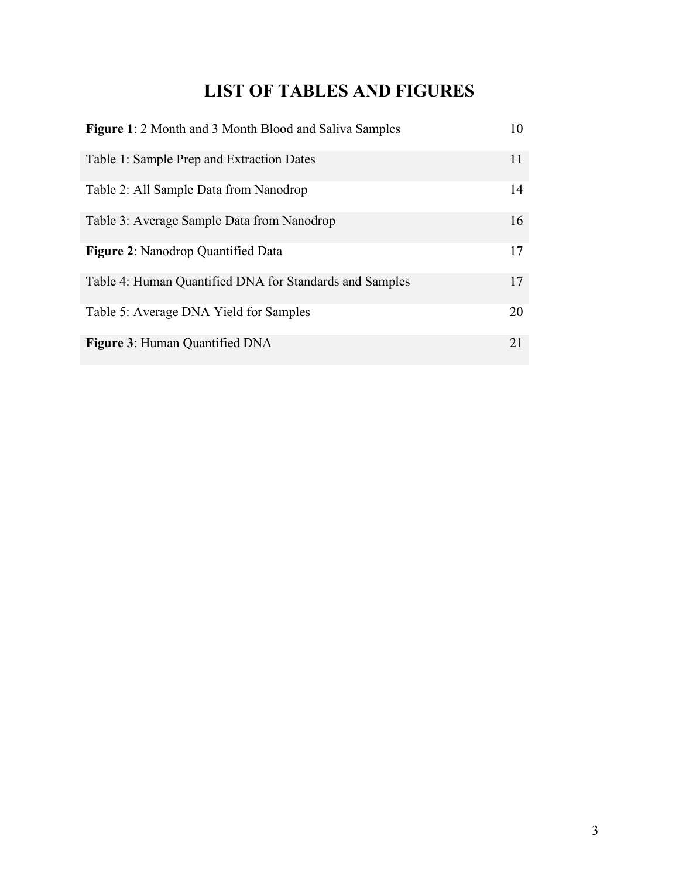## **LIST OF TABLES AND FIGURES**

| <b>Figure 1: 2 Month and 3 Month Blood and Saliva Samples</b> | 10 |
|---------------------------------------------------------------|----|
| Table 1: Sample Prep and Extraction Dates                     | 11 |
| Table 2: All Sample Data from Nanodrop                        | 14 |
| Table 3: Average Sample Data from Nanodrop                    | 16 |
| <b>Figure 2:</b> Nanodrop Quantified Data                     | 17 |
| Table 4: Human Quantified DNA for Standards and Samples       | 17 |
| Table 5: Average DNA Yield for Samples                        | 20 |
| <b>Figure 3: Human Quantified DNA</b>                         | 21 |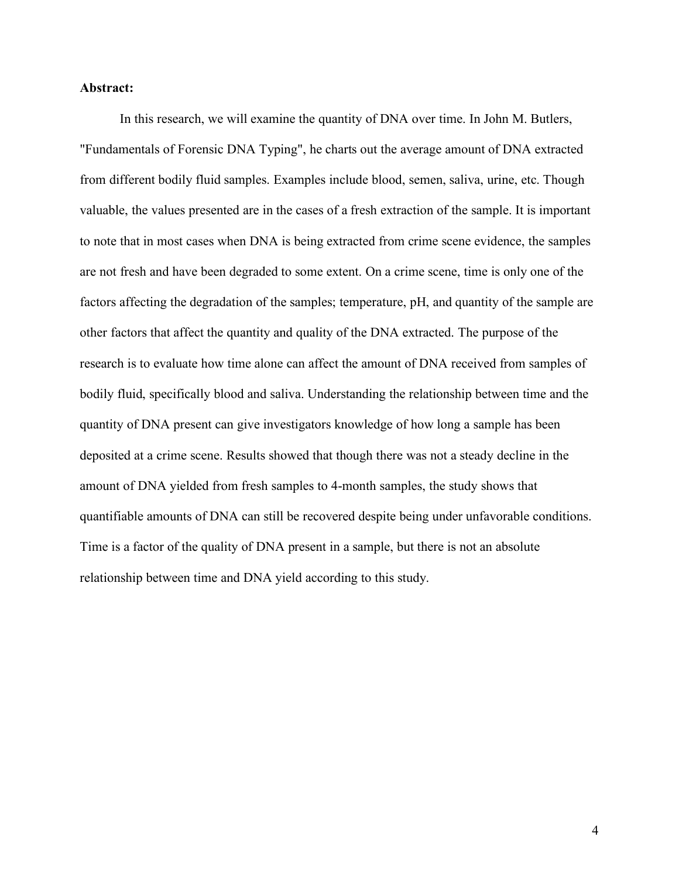#### **Abstract:**

In this research, we will examine the quantity of DNA over time. In John M. Butlers, "Fundamentals of Forensic DNA Typing", he charts out the average amount of DNA extracted from different bodily fluid samples. Examples include blood, semen, saliva, urine, etc. Though valuable, the values presented are in the cases of a fresh extraction of the sample. It is important to note that in most cases when DNA is being extracted from crime scene evidence, the samples are not fresh and have been degraded to some extent. On a crime scene, time is only one of the factors affecting the degradation of the samples; temperature, pH, and quantity of the sample are other factors that affect the quantity and quality of the DNA extracted. The purpose of the research is to evaluate how time alone can affect the amount of DNA received from samples of bodily fluid, specifically blood and saliva. Understanding the relationship between time and the quantity of DNA present can give investigators knowledge of how long a sample has been deposited at a crime scene. Results showed that though there was not a steady decline in the amount of DNA yielded from fresh samples to 4-month samples, the study shows that quantifiable amounts of DNA can still be recovered despite being under unfavorable conditions. Time is a factor of the quality of DNA present in a sample, but there is not an absolute relationship between time and DNA yield according to this study.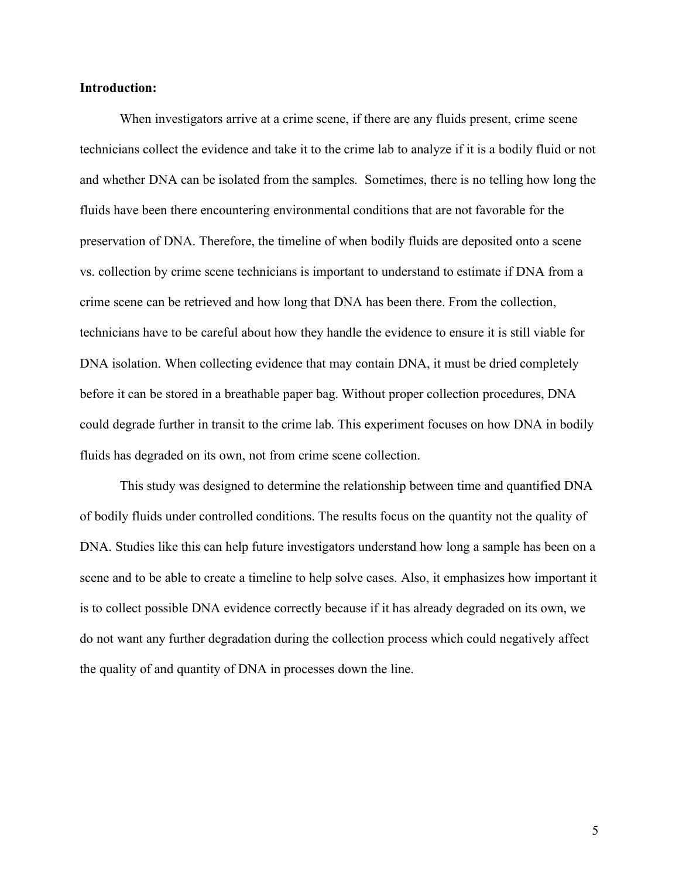#### **Introduction:**

When investigators arrive at a crime scene, if there are any fluids present, crime scene technicians collect the evidence and take it to the crime lab to analyze if it is a bodily fluid or not and whether DNA can be isolated from the samples. Sometimes, there is no telling how long the fluids have been there encountering environmental conditions that are not favorable for the preservation of DNA. Therefore, the timeline of when bodily fluids are deposited onto a scene vs. collection by crime scene technicians is important to understand to estimate if DNA from a crime scene can be retrieved and how long that DNA has been there. From the collection, technicians have to be careful about how they handle the evidence to ensure it is still viable for DNA isolation. When collecting evidence that may contain DNA, it must be dried completely before it can be stored in a breathable paper bag. Without proper collection procedures, DNA could degrade further in transit to the crime lab. This experiment focuses on how DNA in bodily fluids has degraded on its own, not from crime scene collection.

This study was designed to determine the relationship between time and quantified DNA of bodily fluids under controlled conditions. The results focus on the quantity not the quality of DNA. Studies like this can help future investigators understand how long a sample has been on a scene and to be able to create a timeline to help solve cases. Also, it emphasizes how important it is to collect possible DNA evidence correctly because if it has already degraded on its own, we do not want any further degradation during the collection process which could negatively affect the quality of and quantity of DNA in processes down the line.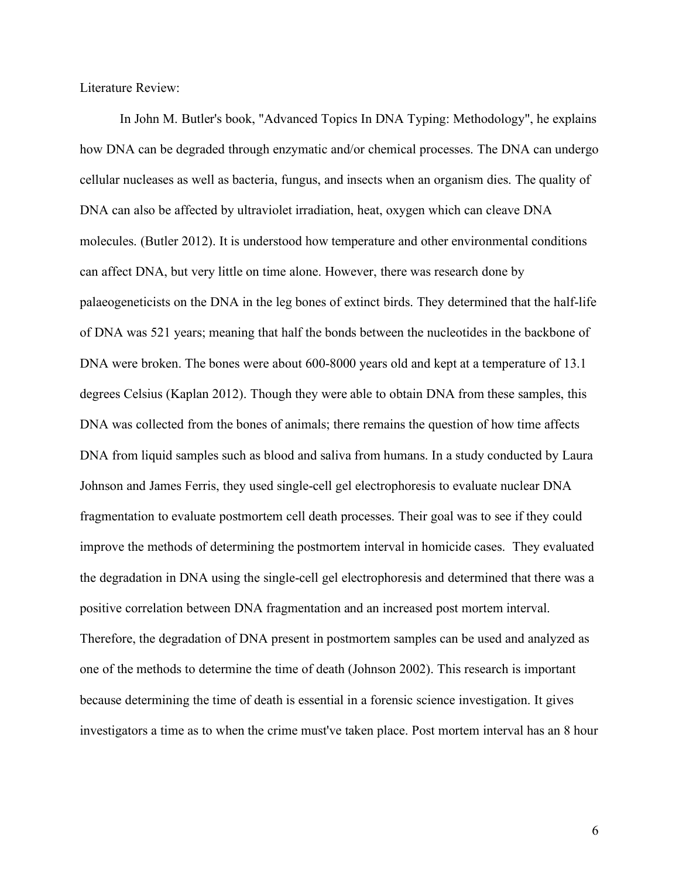Literature Review:

In John M. Butler's book, "Advanced Topics In DNA Typing: Methodology", he explains how DNA can be degraded through enzymatic and/or chemical processes. The DNA can undergo cellular nucleases as well as bacteria, fungus, and insects when an organism dies. The quality of DNA can also be affected by ultraviolet irradiation, heat, oxygen which can cleave DNA molecules. (Butler 2012). It is understood how temperature and other environmental conditions can affect DNA, but very little on time alone. However, there was research done by palaeogeneticists on the DNA in the leg bones of extinct birds. They determined that the half-life of DNA was 521 years; meaning that half the bonds between the nucleotides in the backbone of DNA were broken. The bones were about 600-8000 years old and kept at a temperature of 13.1 degrees Celsius (Kaplan 2012). Though they were able to obtain DNA from these samples, this DNA was collected from the bones of animals; there remains the question of how time affects DNA from liquid samples such as blood and saliva from humans. In a study conducted by Laura Johnson and James Ferris, they used single-cell gel electrophoresis to evaluate nuclear DNA fragmentation to evaluate postmortem cell death processes. Their goal was to see if they could improve the methods of determining the postmortem interval in homicide cases. They evaluated the degradation in DNA using the single-cell gel electrophoresis and determined that there was a positive correlation between DNA fragmentation and an increased post mortem interval. Therefore, the degradation of DNA present in postmortem samples can be used and analyzed as one of the methods to determine the time of death (Johnson 2002). This research is important because determining the time of death is essential in a forensic science investigation. It gives investigators a time as to when the crime must've taken place. Post mortem interval has an 8 hour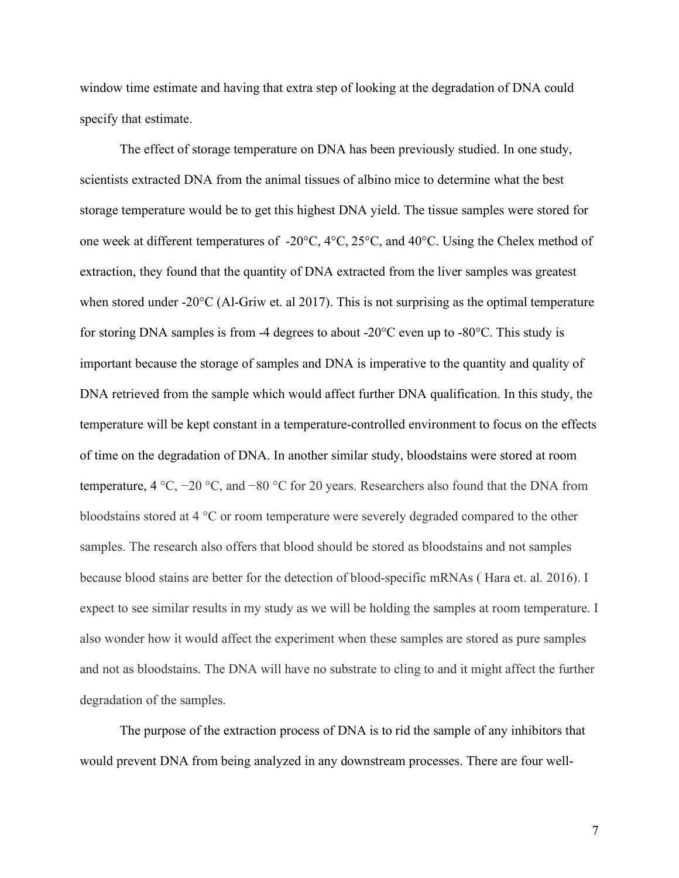window time estimate and having that extra step of looking at the degradation of DNA could specify that estimate.

The effect of storage temperature on DNA has been previously studied. In one study, scientists extracted DNA from the animal tissues of albino mice to determine what the best storage temperature would be to get this highest DNA yield. The tissue samples were stored for one week at different temperatures of -20°C, 4°C, 25°C, and 40°C. Using the Chelex method of extraction, they found that the quantity of DNA extracted from the liver samples was greatest when stored under -20°C (Al-Griw et. al 2017). This is not surprising as the optimal temperature for storing DNA samples is from -4 degrees to about -20°C even up to -80°C. This study is important because the storage of samples and DNA is imperative to the quantity and quality of DNA retrieved from the sample which would affect further DNA qualification. In this study, the temperature will be kept constant in a temperature-controlled environment to focus on the effects of time on the degradation of DNA. In another similar study, bloodstains were stored at room temperature, 4 °C, −20 °C, and −80 °C for 20 years. Researchers also found that the DNA from bloodstains stored at 4 °C or room temperature were severely degraded compared to the other samples. The research also offers that blood should be stored as bloodstains and not samples because blood stains are better for the detection of blood-specific mRNAs ( Hara et. al. 2016). I expect to see similar results in my study as we will be holding the samples at room temperature. I also wonder how it would affect the experiment when these samples are stored as pure samples and not as bloodstains. The DNA will have no substrate to cling to and it might affect the further degradation of the samples.

The purpose of the extraction process of DNA is to rid the sample of any inhibitors that would prevent DNA from being analyzed in any downstream processes. There are four well-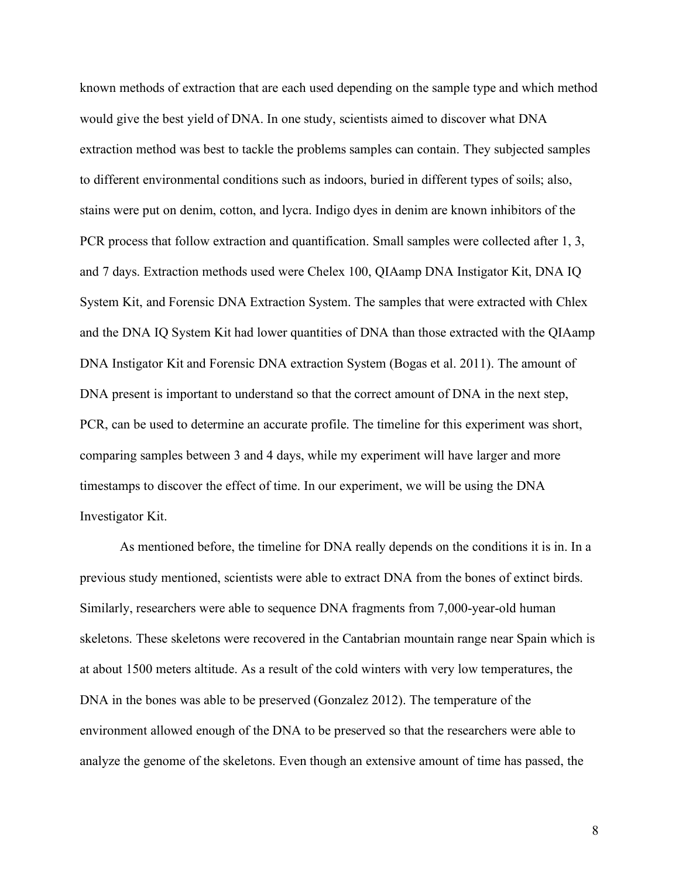known methods of extraction that are each used depending on the sample type and which method would give the best yield of DNA. In one study, scientists aimed to discover what DNA extraction method was best to tackle the problems samples can contain. They subjected samples to different environmental conditions such as indoors, buried in different types of soils; also, stains were put on denim, cotton, and lycra. Indigo dyes in denim are known inhibitors of the PCR process that follow extraction and quantification. Small samples were collected after 1, 3, and 7 days. Extraction methods used were Chelex 100, QIAamp DNA Instigator Kit, DNA IQ System Kit, and Forensic DNA Extraction System. The samples that were extracted with Chlex and the DNA IQ System Kit had lower quantities of DNA than those extracted with the QIAamp DNA Instigator Kit and Forensic DNA extraction System (Bogas et al. 2011). The amount of DNA present is important to understand so that the correct amount of DNA in the next step, PCR, can be used to determine an accurate profile. The timeline for this experiment was short, comparing samples between 3 and 4 days, while my experiment will have larger and more timestamps to discover the effect of time. In our experiment, we will be using the DNA Investigator Kit.

As mentioned before, the timeline for DNA really depends on the conditions it is in. In a previous study mentioned, scientists were able to extract DNA from the bones of extinct birds. Similarly, researchers were able to sequence DNA fragments from 7,000-year-old human skeletons. These skeletons were recovered in the Cantabrian mountain range near Spain which is at about 1500 meters altitude. As a result of the cold winters with very low temperatures, the DNA in the bones was able to be preserved (Gonzalez 2012). The temperature of the environment allowed enough of the DNA to be preserved so that the researchers were able to analyze the genome of the skeletons. Even though an extensive amount of time has passed, the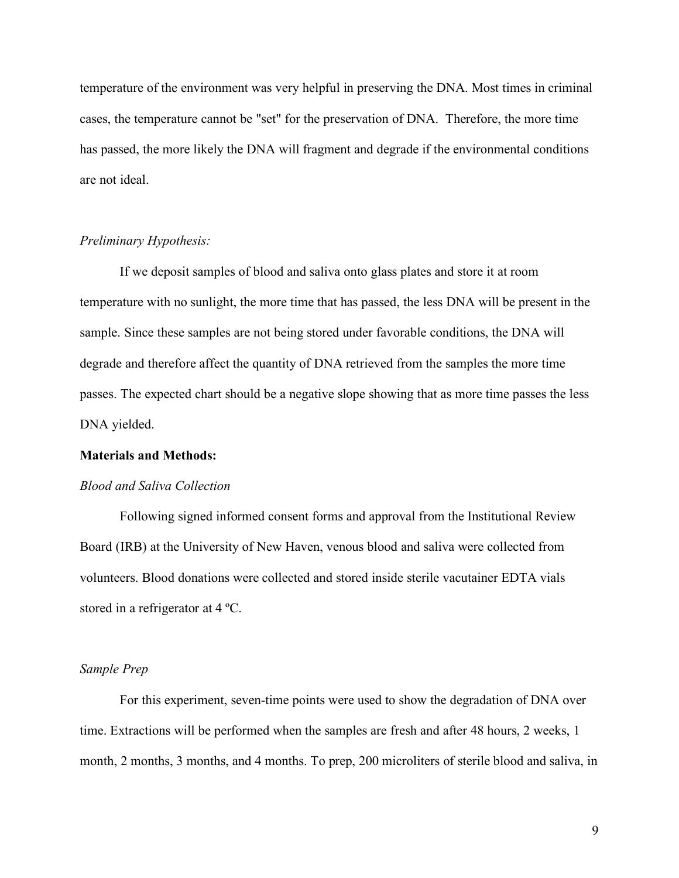temperature of the environment was very helpful in preserving the DNA. Most times in criminal cases, the temperature cannot be "set" for the preservation of DNA. Therefore, the more time has passed, the more likely the DNA will fragment and degrade if the environmental conditions are not ideal.

#### *Preliminary Hypothesis:*

If we deposit samples of blood and saliva onto glass plates and store it at room temperature with no sunlight, the more time that has passed, the less DNA will be present in the sample. Since these samples are not being stored under favorable conditions, the DNA will degrade and therefore affect the quantity of DNA retrieved from the samples the more time passes. The expected chart should be a negative slope showing that as more time passes the less DNA yielded.

#### **Materials and Methods:**

#### *Blood and Saliva Collection*

Following signed informed consent forms and approval from the Institutional Review Board (IRB) at the University of New Haven, venous blood and saliva were collected from volunteers. Blood donations were collected and stored inside sterile vacutainer EDTA vials stored in a refrigerator at 4 ºC.

#### *Sample Prep*

For this experiment, seven-time points were used to show the degradation of DNA over time. Extractions will be performed when the samples are fresh and after 48 hours, 2 weeks, 1 month, 2 months, 3 months, and 4 months. To prep, 200 microliters of sterile blood and saliva, in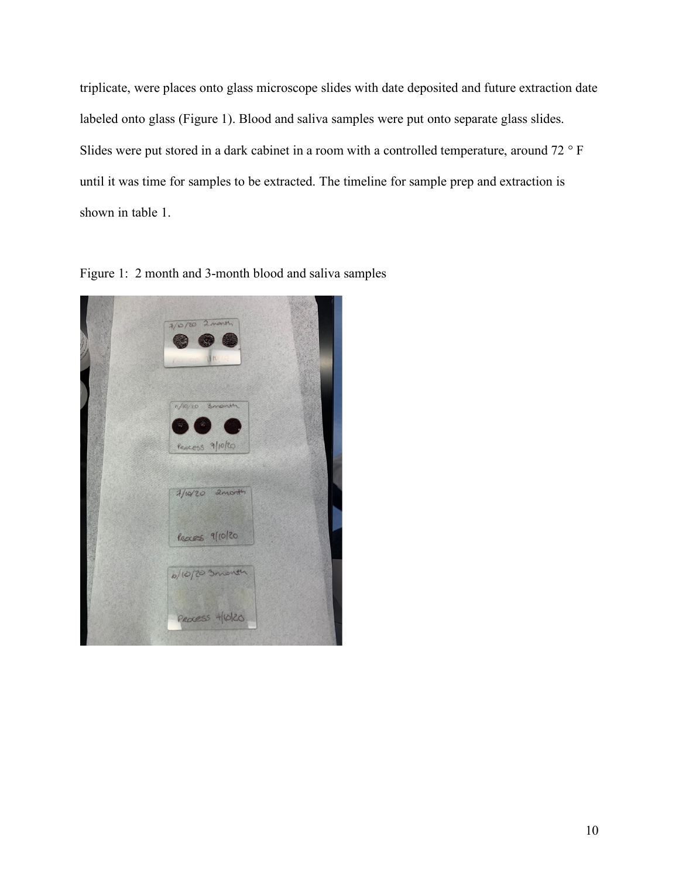triplicate, were places onto glass microscope slides with date deposited and future extraction date labeled onto glass (Figure 1). Blood and saliva samples were put onto separate glass slides. Slides were put stored in a dark cabinet in a room with a controlled temperature, around 72 ° F until it was time for samples to be extracted. The timeline for sample prep and extraction is shown in table 1.

Figure 1: 2 month and 3-month blood and saliva samples

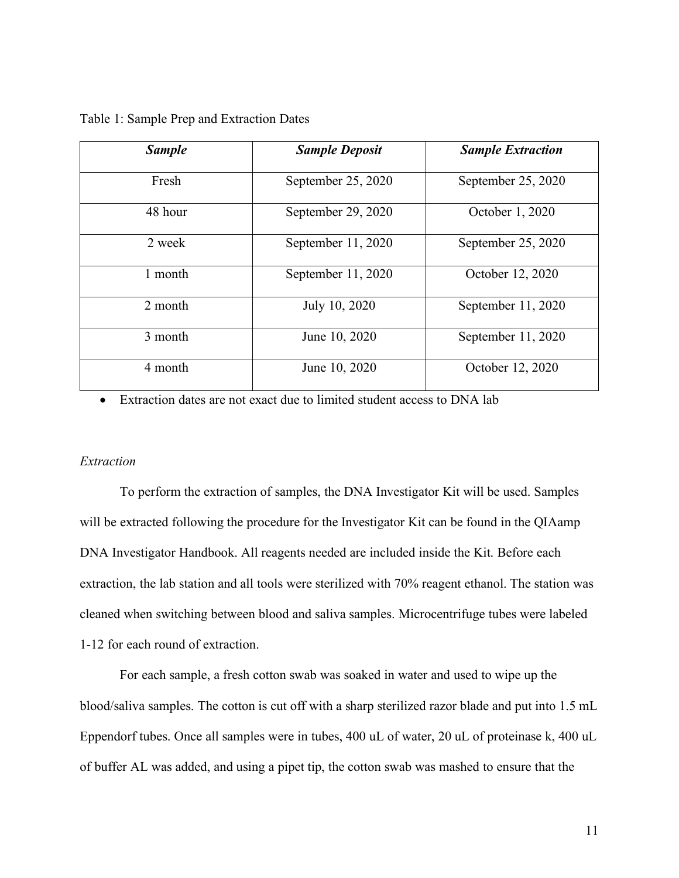| <b>Sample</b> | <b>Sample Deposit</b> | <b>Sample Extraction</b> |
|---------------|-----------------------|--------------------------|
| Fresh         | September 25, 2020    | September 25, 2020       |
| 48 hour       | September 29, 2020    | October 1, 2020          |
| 2 week        | September 11, 2020    | September 25, 2020       |
| 1 month       | September 11, 2020    | October 12, 2020         |
| 2 month       | July 10, 2020         | September 11, 2020       |
| 3 month       | June 10, 2020         | September 11, 2020       |
| 4 month       | June 10, 2020         | October 12, 2020         |

Table 1: Sample Prep and Extraction Dates

• Extraction dates are not exact due to limited student access to DNA lab

#### *Extraction*

To perform the extraction of samples, the DNA Investigator Kit will be used. Samples will be extracted following the procedure for the Investigator Kit can be found in the QIAamp DNA Investigator Handbook. All reagents needed are included inside the Kit. Before each extraction, the lab station and all tools were sterilized with 70% reagent ethanol. The station was cleaned when switching between blood and saliva samples. Microcentrifuge tubes were labeled 1-12 for each round of extraction.

For each sample, a fresh cotton swab was soaked in water and used to wipe up the blood/saliva samples. The cotton is cut off with a sharp sterilized razor blade and put into 1.5 mL Eppendorf tubes. Once all samples were in tubes, 400 uL of water, 20 uL of proteinase k, 400 uL of buffer AL was added, and using a pipet tip, the cotton swab was mashed to ensure that the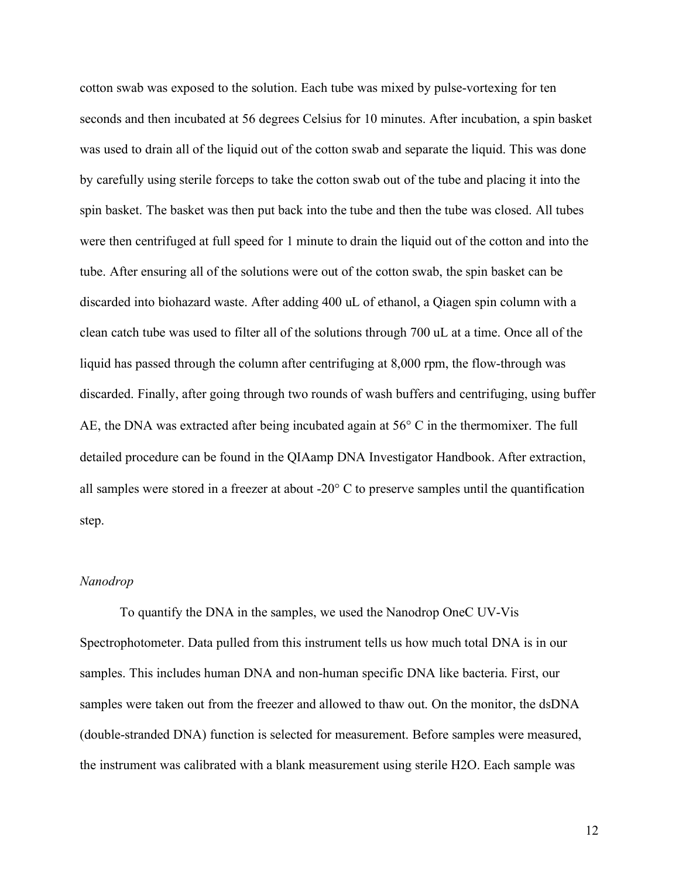cotton swab was exposed to the solution. Each tube was mixed by pulse-vortexing for ten seconds and then incubated at 56 degrees Celsius for 10 minutes. After incubation, a spin basket was used to drain all of the liquid out of the cotton swab and separate the liquid. This was done by carefully using sterile forceps to take the cotton swab out of the tube and placing it into the spin basket. The basket was then put back into the tube and then the tube was closed. All tubes were then centrifuged at full speed for 1 minute to drain the liquid out of the cotton and into the tube. After ensuring all of the solutions were out of the cotton swab, the spin basket can be discarded into biohazard waste. After adding 400 uL of ethanol, a Qiagen spin column with a clean catch tube was used to filter all of the solutions through 700 uL at a time. Once all of the liquid has passed through the column after centrifuging at 8,000 rpm, the flow-through was discarded. Finally, after going through two rounds of wash buffers and centrifuging, using buffer AE, the DNA was extracted after being incubated again at 56° C in the thermomixer. The full detailed procedure can be found in the QIAamp DNA Investigator Handbook. After extraction, all samples were stored in a freezer at about -20° C to preserve samples until the quantification step.

#### *Nanodrop*

To quantify the DNA in the samples, we used the Nanodrop OneC UV-Vis Spectrophotometer. Data pulled from this instrument tells us how much total DNA is in our samples. This includes human DNA and non-human specific DNA like bacteria. First, our samples were taken out from the freezer and allowed to thaw out. On the monitor, the dsDNA (double-stranded DNA) function is selected for measurement. Before samples were measured, the instrument was calibrated with a blank measurement using sterile H2O. Each sample was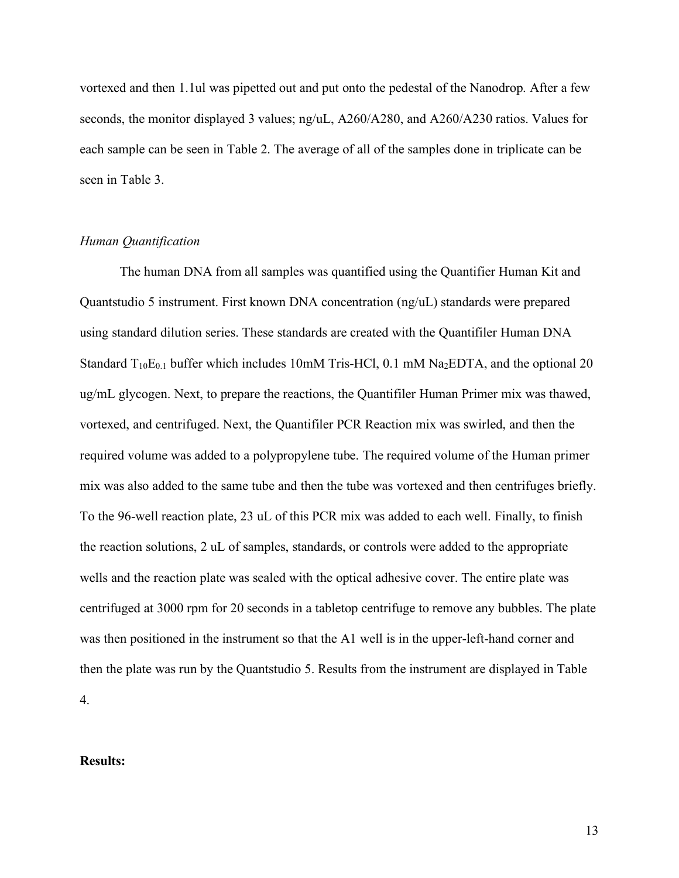vortexed and then 1.1ul was pipetted out and put onto the pedestal of the Nanodrop. After a few seconds, the monitor displayed 3 values; ng/uL, A260/A280, and A260/A230 ratios. Values for each sample can be seen in Table 2. The average of all of the samples done in triplicate can be seen in Table 3.

#### *Human Quantification*

The human DNA from all samples was quantified using the Quantifier Human Kit and Quantstudio 5 instrument. First known DNA concentration (ng/uL) standards were prepared using standard dilution series. These standards are created with the Quantifiler Human DNA Standard  $T_{10}E_{0,1}$  buffer which includes 10mM Tris-HCl, 0.1 mM Na<sub>2</sub>EDTA, and the optional 20 ug/mL glycogen. Next, to prepare the reactions, the Quantifiler Human Primer mix was thawed, vortexed, and centrifuged. Next, the Quantifiler PCR Reaction mix was swirled, and then the required volume was added to a polypropylene tube. The required volume of the Human primer mix was also added to the same tube and then the tube was vortexed and then centrifuges briefly. To the 96-well reaction plate, 23 uL of this PCR mix was added to each well. Finally, to finish the reaction solutions, 2 uL of samples, standards, or controls were added to the appropriate wells and the reaction plate was sealed with the optical adhesive cover. The entire plate was centrifuged at 3000 rpm for 20 seconds in a tabletop centrifuge to remove any bubbles. The plate was then positioned in the instrument so that the A1 well is in the upper-left-hand corner and then the plate was run by the Quantstudio 5. Results from the instrument are displayed in Table 4.

#### **Results:**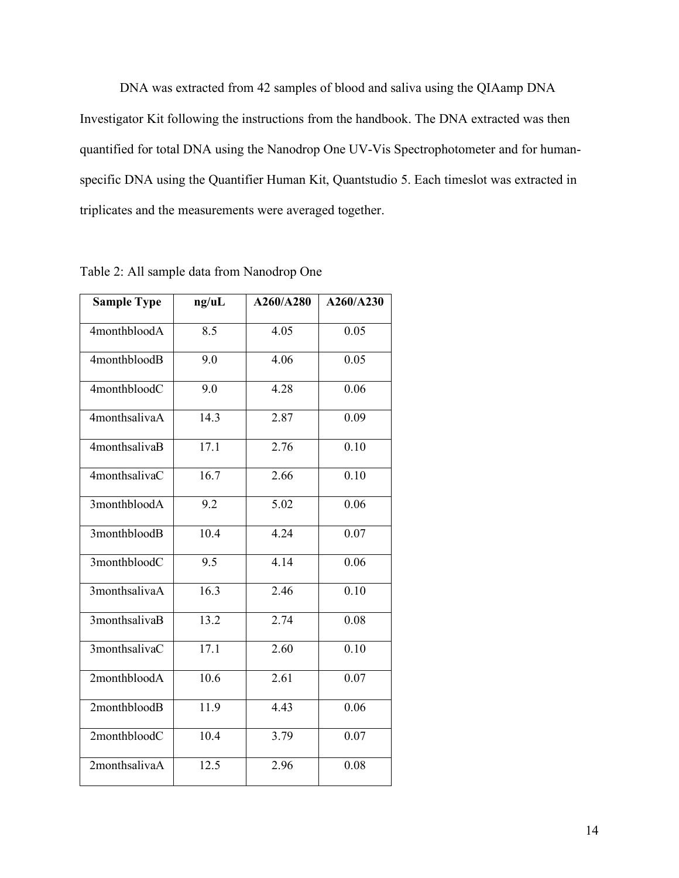DNA was extracted from 42 samples of blood and saliva using the QIAamp DNA Investigator Kit following the instructions from the handbook. The DNA extracted was then quantified for total DNA using the Nanodrop One UV-Vis Spectrophotometer and for humanspecific DNA using the Quantifier Human Kit, Quantstudio 5. Each timeslot was extracted in triplicates and the measurements were averaged together.

| ng/uL | A260/A280 | A260/A230 |
|-------|-----------|-----------|
| 8.5   | 4.05      | 0.05      |
| 9.0   | 4.06      | 0.05      |
| 9.0   | 4.28      | 0.06      |
| 14.3  | 2.87      | 0.09      |
| 17.1  | 2.76      | 0.10      |
| 16.7  | 2.66      | 0.10      |
| 9.2   | 5.02      | 0.06      |
| 10.4  | 4.24      | 0.07      |
| 9.5   | 4.14      | 0.06      |
| 16.3  | 2.46      | 0.10      |
| 13.2  | 2.74      | 0.08      |
| 17.1  | 2.60      | 0.10      |
| 10.6  | 2.61      | 0.07      |
| 11.9  | 4.43      | 0.06      |
| 10.4  | 3.79      | 0.07      |
| 12.5  | 2.96      | 0.08      |
|       |           |           |

Table 2: All sample data from Nanodrop One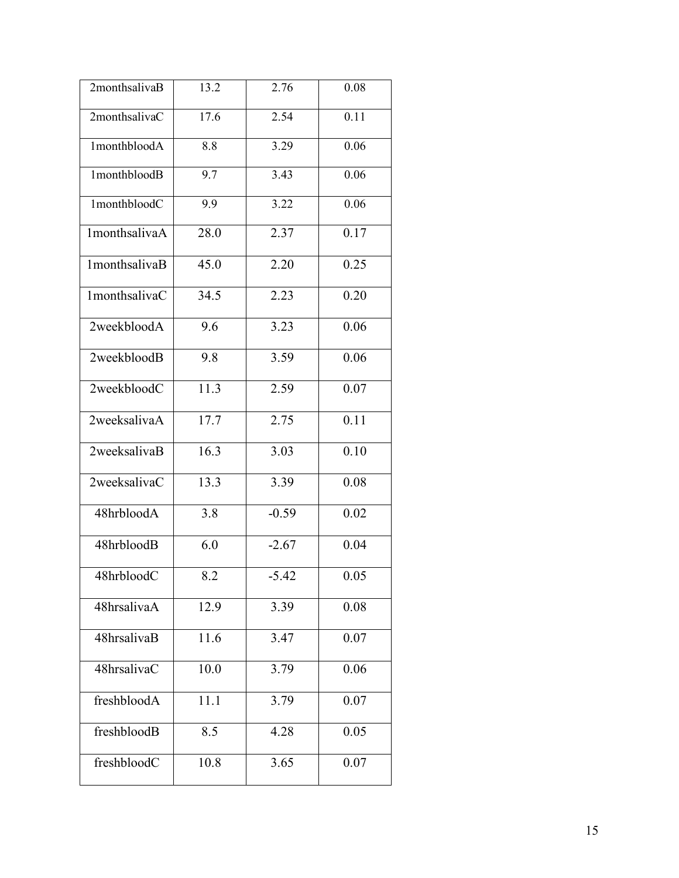| 2monthsalivaB | 13.2 | 2.76    | 0.08 |
|---------------|------|---------|------|
| 2monthsalivaC | 17.6 | 2.54    | 0.11 |
| 1monthbloodA  | 8.8  | 3.29    | 0.06 |
| 1monthbloodB  | 9.7  | 3.43    | 0.06 |
| 1monthbloodC  | 9.9  | 3.22    | 0.06 |
| 1monthsalivaA | 28.0 | 2.37    | 0.17 |
| 1monthsalivaB | 45.0 | 2.20    | 0.25 |
| 1monthsalivaC | 34.5 | 2.23    | 0.20 |
| 2weekbloodA   | 9.6  | 3.23    | 0.06 |
| 2weekbloodB   | 9.8  | 3.59    | 0.06 |
| 2weekbloodC   | 11.3 | 2.59    | 0.07 |
| 2weeksalivaA  | 17.7 | 2.75    | 0.11 |
| 2weeksalivaB  | 16.3 | 3.03    | 0.10 |
| 2weeksalivaC  | 13.3 | 3.39    | 0.08 |
| 48hrbloodA    | 3.8  | $-0.59$ | 0.02 |
| 48hrbloodB    | 6.0  | $-2.67$ | 0.04 |
| 48hrbloodC    | 8.2  | $-5.42$ | 0.05 |
| 48hrsalivaA   | 12.9 | 3.39    | 0.08 |
| 48hrsalivaB   | 11.6 | 3.47    | 0.07 |
| 48hrsalivaC   | 10.0 | 3.79    | 0.06 |
| freshbloodA   | 11.1 | 3.79    | 0.07 |
| freshbloodB   | 8.5  | 4.28    | 0.05 |
| freshbloodC   | 10.8 | 3.65    | 0.07 |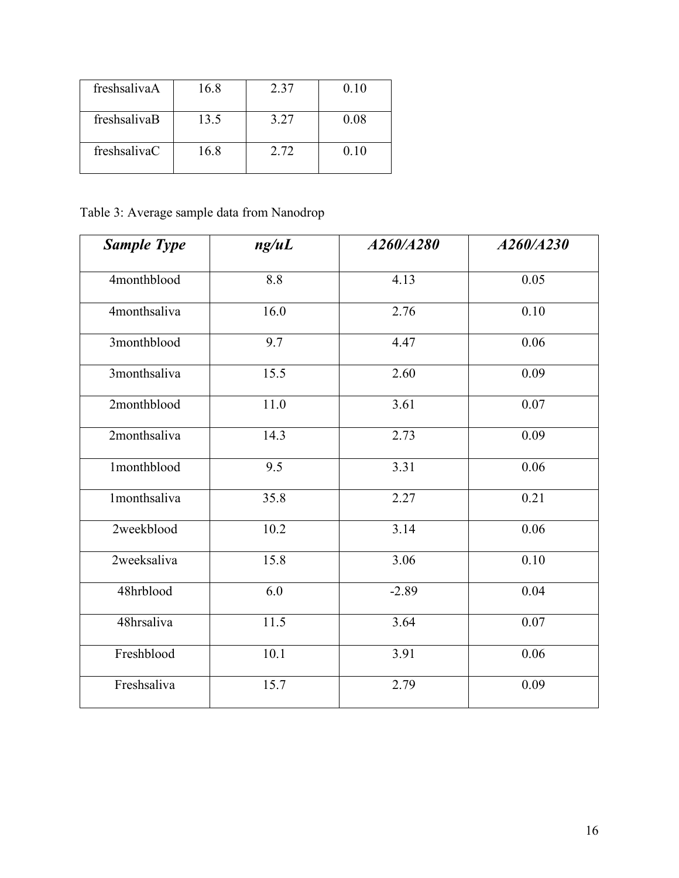| freshsalivaA | 16.8 | 2.37 | 0.10 |
|--------------|------|------|------|
| freshsalivaB | 13.5 | 3.27 | 0.08 |
| freshsalivaC | 16 8 | 2.72 | 0.10 |

Table 3: Average sample data from Nanodrop

| <b>Sample Type</b> | ng/uL            | A260/A280 | A260/A230 |
|--------------------|------------------|-----------|-----------|
| 4monthblood        | 8.8              | 4.13      | 0.05      |
| 4monthsaliva       | 16.0             | 2.76      | 0.10      |
| 3monthblood        | 9.7              | 4.47      | 0.06      |
| 3monthsaliva       | 15.5             | 2.60      | 0.09      |
| 2monthblood        | 11.0             | 3.61      | 0.07      |
| 2monthsaliva       | 14.3             | 2.73      | 0.09      |
| 1monthblood        | $\overline{9.5}$ | 3.31      | 0.06      |
| 1monthsaliva       | 35.8             | 2.27      | 0.21      |
| 2weekblood         | 10.2             | 3.14      | 0.06      |
| 2weeksaliva        | 15.8             | 3.06      | 0.10      |
| 48hrblood          | 6.0              | $-2.89$   | 0.04      |
| 48hrsaliva         | 11.5             | 3.64      | 0.07      |
| Freshblood         | 10.1             | 3.91      | 0.06      |
| Freshsaliva        | 15.7             | 2.79      | 0.09      |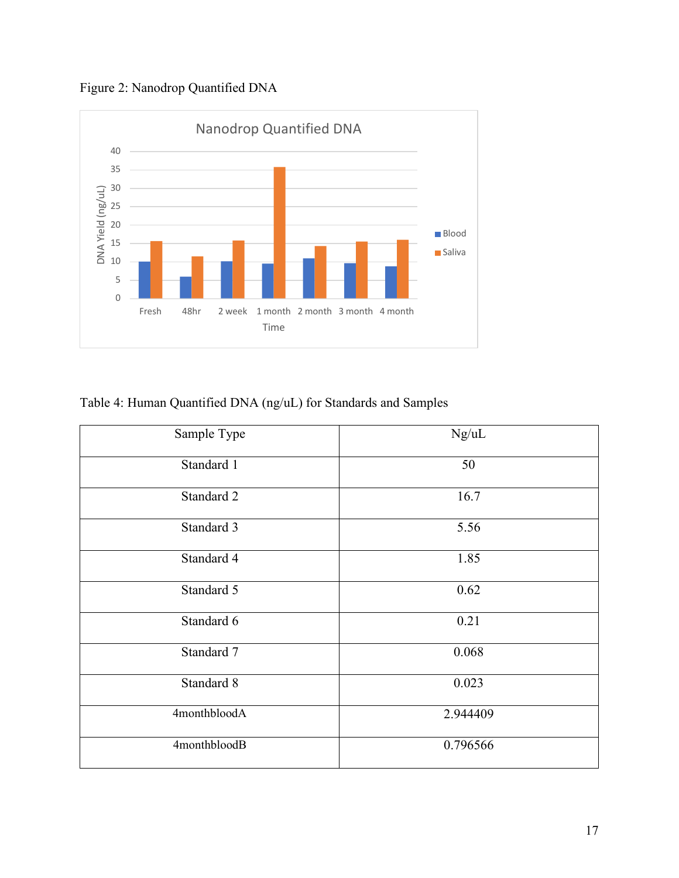Figure 2: Nanodrop Quantified DNA



Table 4: Human Quantified DNA (ng/uL) for Standards and Samples

| Sample Type  | Ng/uL    |
|--------------|----------|
| Standard 1   | 50       |
| Standard 2   | 16.7     |
| Standard 3   | 5.56     |
| Standard 4   | 1.85     |
| Standard 5   | 0.62     |
| Standard 6   | 0.21     |
| Standard 7   | 0.068    |
| Standard 8   | 0.023    |
| 4monthbloodA | 2.944409 |
| 4monthbloodB | 0.796566 |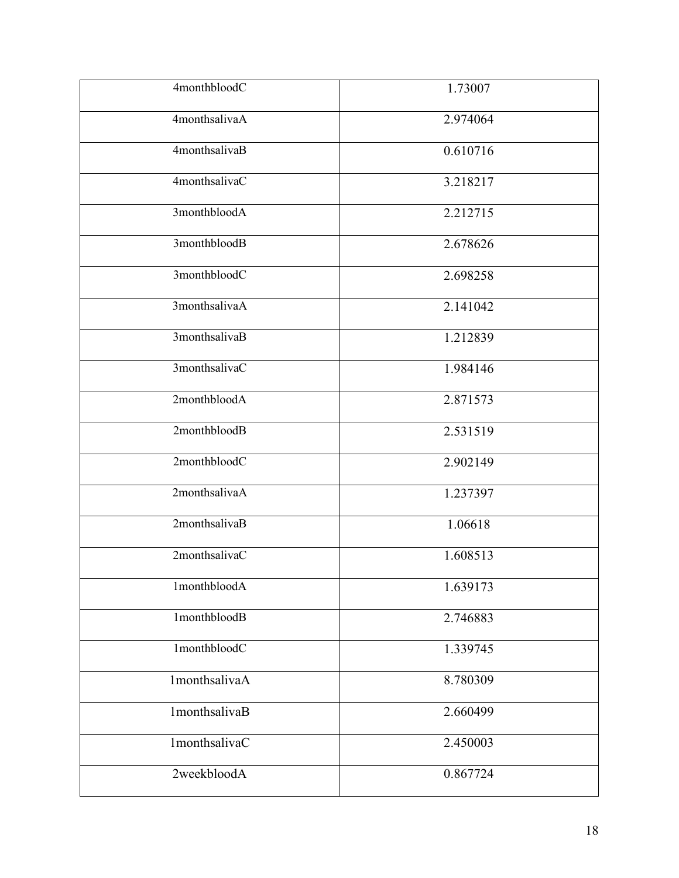| 4monthbloodC             | 1.73007  |
|--------------------------|----------|
| 4monthsalivaA            | 2.974064 |
| 4monthsalivaB            | 0.610716 |
| 4monthsalivaC            | 3.218217 |
| 3monthbloodA             | 2.212715 |
| 3monthbloodB             | 2.678626 |
| 3monthbloodC             | 2.698258 |
| 3monthsalivaA            | 2.141042 |
| 3monthsalivaB            | 1.212839 |
| 3monthsalivaC            | 1.984146 |
| 2monthbloodA             | 2.871573 |
| 2monthbloodB             | 2.531519 |
| 2monthbloodC             | 2.902149 |
| 2monthsalivaA            | 1.237397 |
| 2monthsalivaB            | 1.06618  |
| 2monthsalivaC            | 1.608513 |
| 1monthbloodA             | 1.639173 |
| 1monthblood <sub>B</sub> | 2.746883 |
| 1monthbloodC             | 1.339745 |
| 1monthsalivaA            | 8.780309 |
| 1monthsalivaB            | 2.660499 |
| 1monthsalivaC            | 2.450003 |
| 2weekbloodA              | 0.867724 |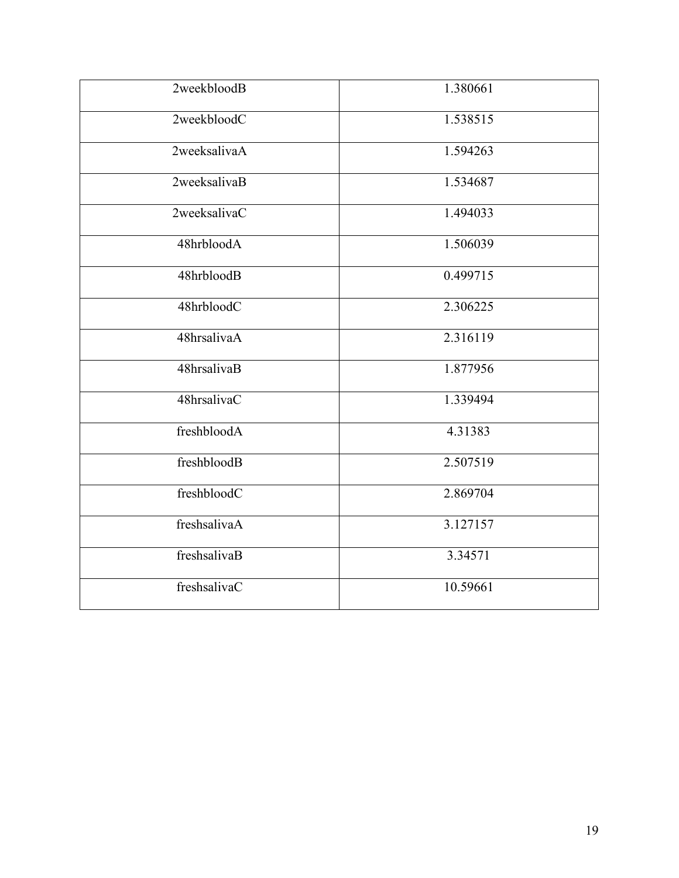| 2weekbloodB  | 1.380661 |
|--------------|----------|
| 2weekbloodC  | 1.538515 |
| 2weeksalivaA | 1.594263 |
| 2weeksalivaB | 1.534687 |
| 2weeksalivaC | 1.494033 |
| 48hrbloodA   | 1.506039 |
| 48hrbloodB   | 0.499715 |
| 48hrbloodC   | 2.306225 |
| 48hrsalivaA  | 2.316119 |
| 48hrsalivaB  | 1.877956 |
| 48hrsalivaC  | 1.339494 |
| freshbloodA  | 4.31383  |
| freshbloodB  | 2.507519 |
| freshbloodC  | 2.869704 |
| freshsalivaA | 3.127157 |
| freshsalivaB | 3.34571  |
| freshsalivaC | 10.59661 |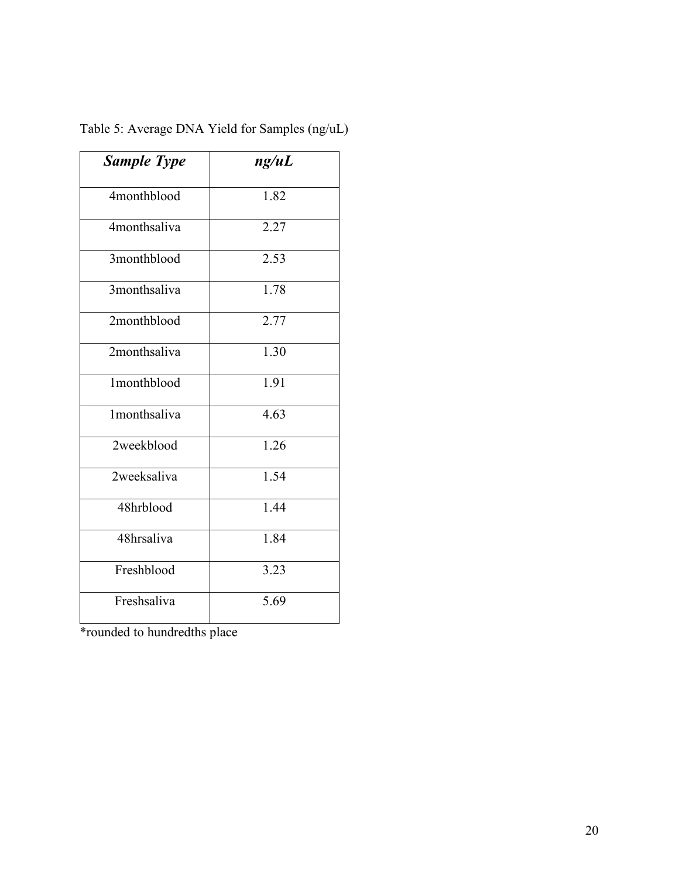| <b>Sample Type</b> | ng/uL |
|--------------------|-------|
| 4monthblood        | 1.82  |
| 4monthsaliva       | 2.27  |
| 3monthblood        | 2.53  |
| 3monthsaliva       | 1.78  |
| 2monthblood        | 2.77  |
| 2monthsaliva       | 1.30  |
| 1monthblood        | 1.91  |
| 1monthsaliva       | 4.63  |
| 2weekblood         | 1.26  |
| 2weeksaliva        | 1.54  |
| 48hrblood          | 1.44  |
| 48hrsaliva         | 1.84  |
| Freshblood         | 3.23  |
| Freshsaliva        | 5.69  |

Table 5: Average DNA Yield for Samples (ng/uL)

\*rounded to hundredths place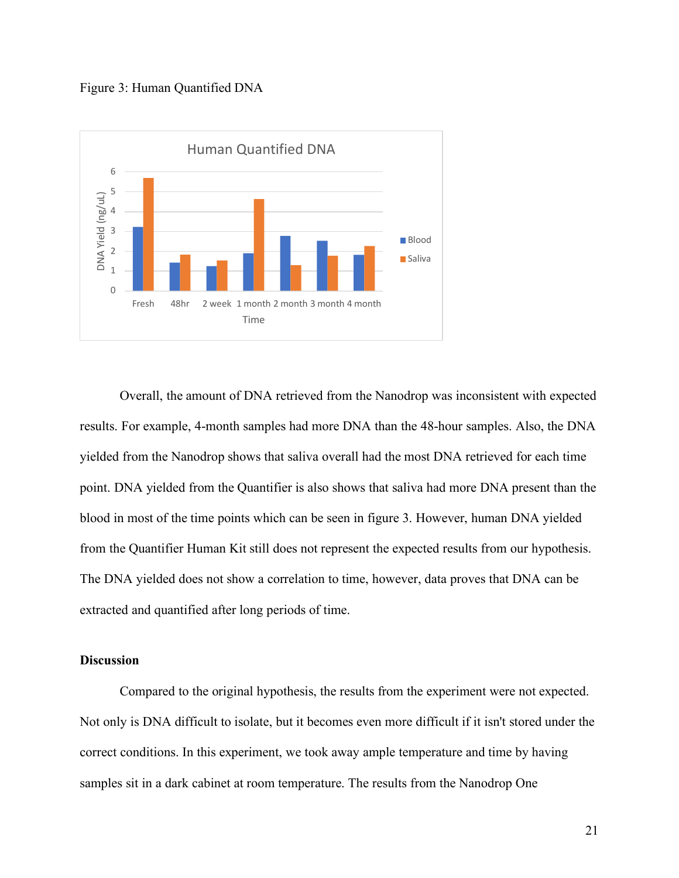



Overall, the amount of DNA retrieved from the Nanodrop was inconsistent with expected results. For example, 4-month samples had more DNA than the 48-hour samples. Also, the DNA yielded from the Nanodrop shows that saliva overall had the most DNA retrieved for each time point. DNA yielded from the Quantifier is also shows that saliva had more DNA present than the blood in most of the time points which can be seen in figure 3. However, human DNA yielded from the Quantifier Human Kit still does not represent the expected results from our hypothesis. The DNA yielded does not show a correlation to time, however, data proves that DNA can be extracted and quantified after long periods of time.

#### **Discussion**

Compared to the original hypothesis, the results from the experiment were not expected. Not only is DNA difficult to isolate, but it becomes even more difficult if it isn't stored under the correct conditions. In this experiment, we took away ample temperature and time by having samples sit in a dark cabinet at room temperature. The results from the Nanodrop One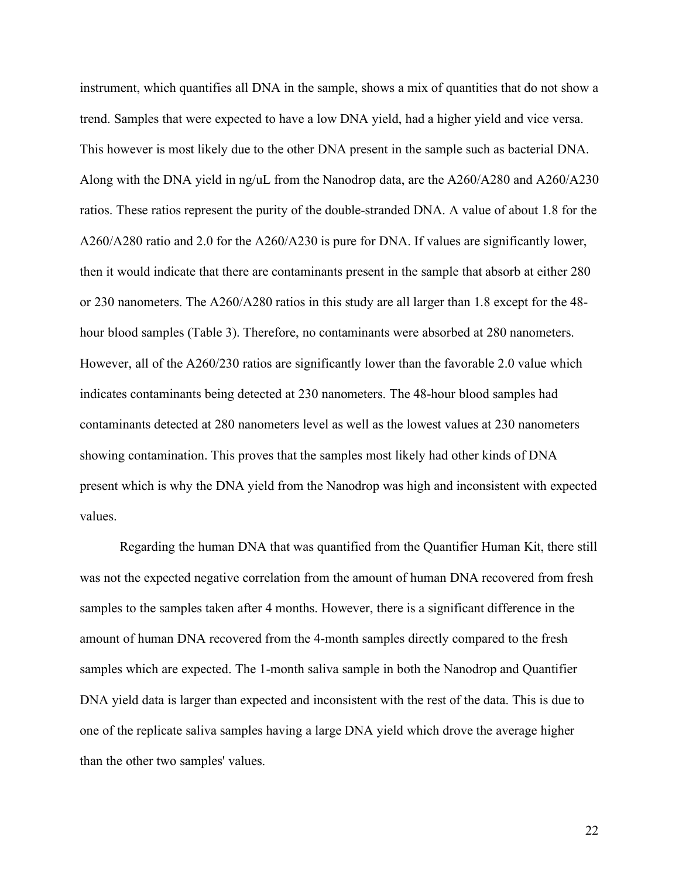instrument, which quantifies all DNA in the sample, shows a mix of quantities that do not show a trend. Samples that were expected to have a low DNA yield, had a higher yield and vice versa. This however is most likely due to the other DNA present in the sample such as bacterial DNA. Along with the DNA yield in ng/uL from the Nanodrop data, are the A260/A280 and A260/A230 ratios. These ratios represent the purity of the double-stranded DNA. A value of about 1.8 for the A260/A280 ratio and 2.0 for the A260/A230 is pure for DNA. If values are significantly lower, then it would indicate that there are contaminants present in the sample that absorb at either 280 or 230 nanometers. The A260/A280 ratios in this study are all larger than 1.8 except for the 48 hour blood samples (Table 3). Therefore, no contaminants were absorbed at 280 nanometers. However, all of the A260/230 ratios are significantly lower than the favorable 2.0 value which indicates contaminants being detected at 230 nanometers. The 48-hour blood samples had contaminants detected at 280 nanometers level as well as the lowest values at 230 nanometers showing contamination. This proves that the samples most likely had other kinds of DNA present which is why the DNA yield from the Nanodrop was high and inconsistent with expected values.

Regarding the human DNA that was quantified from the Quantifier Human Kit, there still was not the expected negative correlation from the amount of human DNA recovered from fresh samples to the samples taken after 4 months. However, there is a significant difference in the amount of human DNA recovered from the 4-month samples directly compared to the fresh samples which are expected. The 1-month saliva sample in both the Nanodrop and Quantifier DNA yield data is larger than expected and inconsistent with the rest of the data. This is due to one of the replicate saliva samples having a large DNA yield which drove the average higher than the other two samples' values.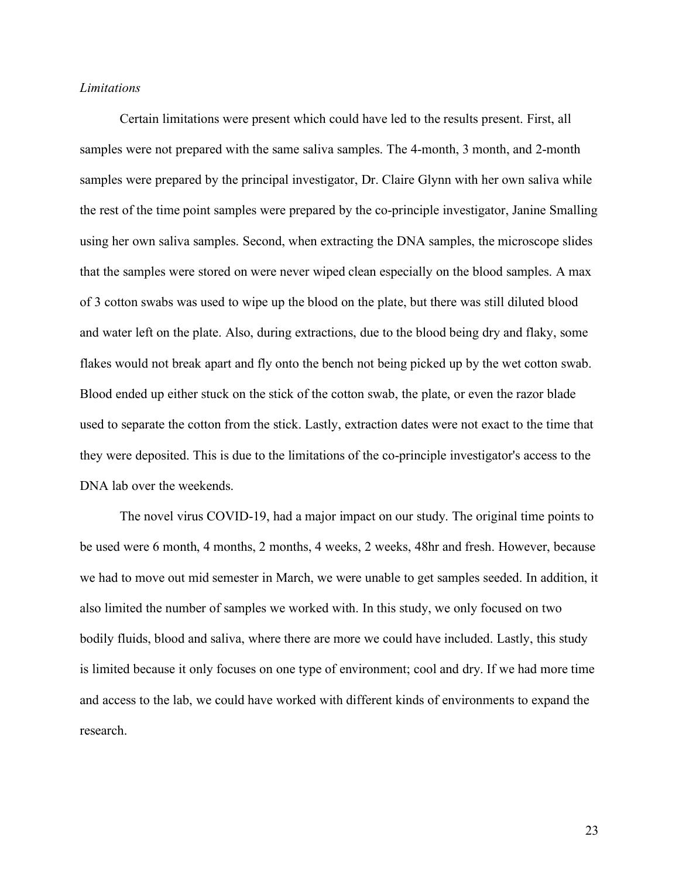#### *Limitations*

Certain limitations were present which could have led to the results present. First, all samples were not prepared with the same saliva samples. The 4-month, 3 month, and 2-month samples were prepared by the principal investigator, Dr. Claire Glynn with her own saliva while the rest of the time point samples were prepared by the co-principle investigator, Janine Smalling using her own saliva samples. Second, when extracting the DNA samples, the microscope slides that the samples were stored on were never wiped clean especially on the blood samples. A max of 3 cotton swabs was used to wipe up the blood on the plate, but there was still diluted blood and water left on the plate. Also, during extractions, due to the blood being dry and flaky, some flakes would not break apart and fly onto the bench not being picked up by the wet cotton swab. Blood ended up either stuck on the stick of the cotton swab, the plate, or even the razor blade used to separate the cotton from the stick. Lastly, extraction dates were not exact to the time that they were deposited. This is due to the limitations of the co-principle investigator's access to the DNA lab over the weekends.

The novel virus COVID-19, had a major impact on our study. The original time points to be used were 6 month, 4 months, 2 months, 4 weeks, 2 weeks, 48hr and fresh. However, because we had to move out mid semester in March, we were unable to get samples seeded. In addition, it also limited the number of samples we worked with. In this study, we only focused on two bodily fluids, blood and saliva, where there are more we could have included. Lastly, this study is limited because it only focuses on one type of environment; cool and dry. If we had more time and access to the lab, we could have worked with different kinds of environments to expand the research.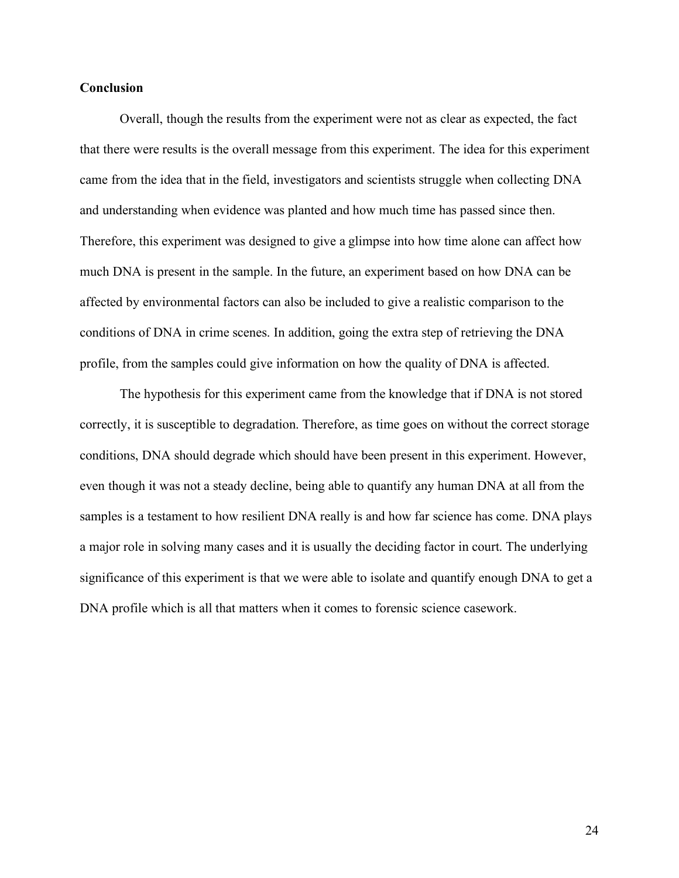#### **Conclusion**

Overall, though the results from the experiment were not as clear as expected, the fact that there were results is the overall message from this experiment. The idea for this experiment came from the idea that in the field, investigators and scientists struggle when collecting DNA and understanding when evidence was planted and how much time has passed since then. Therefore, this experiment was designed to give a glimpse into how time alone can affect how much DNA is present in the sample. In the future, an experiment based on how DNA can be affected by environmental factors can also be included to give a realistic comparison to the conditions of DNA in crime scenes. In addition, going the extra step of retrieving the DNA profile, from the samples could give information on how the quality of DNA is affected.

The hypothesis for this experiment came from the knowledge that if DNA is not stored correctly, it is susceptible to degradation. Therefore, as time goes on without the correct storage conditions, DNA should degrade which should have been present in this experiment. However, even though it was not a steady decline, being able to quantify any human DNA at all from the samples is a testament to how resilient DNA really is and how far science has come. DNA plays a major role in solving many cases and it is usually the deciding factor in court. The underlying significance of this experiment is that we were able to isolate and quantify enough DNA to get a DNA profile which is all that matters when it comes to forensic science casework.